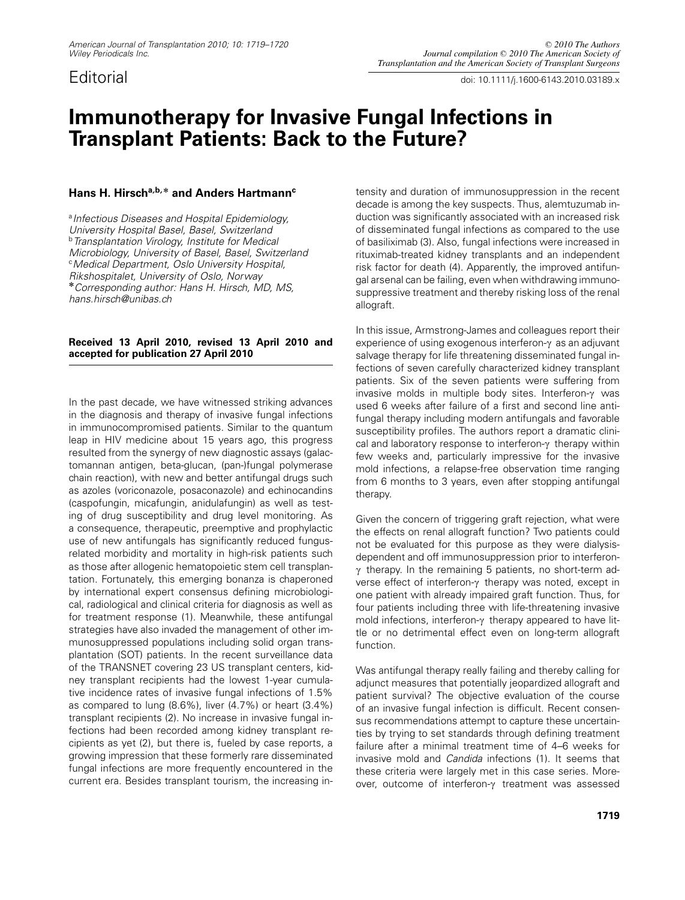*Editorial doi: 10.1111/j.1600-6143.2010.03189.x*

# **Immunotherapy for Invasive Fungal Infections in Transplant Patients: Back to the Future?**

## **Hans H. Hirsch<sup>a</sup>,b, \* and Anders Hartmannc**

*<sup>a</sup>Infectious Diseases and Hospital Epidemiology, University Hospital Basel, Basel, Switzerland <sup>b</sup>Transplantation Virology, Institute for Medical Microbiology, University of Basel, Basel, Switzerland <sup>c</sup>Medical Department, Oslo University Hospital, Rikshospitalet, University of Oslo, Norway* **\****Corresponding author: Hans H. Hirsch, MD, MS, hans.hirsch@unibas.ch*

### **Received 13 April 2010, revised 13 April 2010 and accepted for publication 27 April 2010**

*In the past decade, we have witnessed striking advances in the diagnosis and therapy of invasive fungal infections in immunocompromised patients. Similar to the quantum leap in HIV medicine about 15 years ago, this progress resulted from the synergy of new diagnostic assays (galactomannan antigen, beta-glucan, (pan-)fungal polymerase chain reaction), with new and better antifungal drugs such as azoles (voriconazole, posaconazole) and echinocandins (caspofungin, micafungin, anidulafungin) as well as testing of drug susceptibility and drug level monitoring. As a consequence, therapeutic, preemptive and prophylactic use of new antifungals has significantly reduced fungusrelated morbidity and mortality in high-risk patients such as those after allogenic hematopoietic stem cell transplantation. Fortunately, this emerging bonanza is chaperoned by international expert consensus defining microbiological, radiological and clinical criteria for diagnosis as well as for treatment response (1). Meanwhile, these antifungal strategies have also invaded the management of other immunosuppressed populations including solid organ transplantation (SOT) patients. In the recent surveillance data of the TRANSNET covering 23 US transplant centers, kidney transplant recipients had the lowest 1-year cumulative incidence rates of invasive fungal infections of 1.5% as compared to lung (8.6%), liver (4.7%) or heart (3.4%) transplant recipients (2). No increase in invasive fungal infections had been recorded among kidney transplant recipients as yet (2), but there is, fueled by case reports, a growing impression that these formerly rare disseminated fungal infections are more frequently encountered in the current era. Besides transplant tourism, the increasing in-*

*tensity and duration of immunosuppression in the recent decade is among the key suspects. Thus, alemtuzumab induction was significantly associated with an increased risk of disseminated fungal infections as compared to the use of basiliximab (3). Also, fungal infections were increased in rituximab-treated kidney transplants and an independent risk factor for death (4). Apparently, the improved antifungal arsenal can be failing, even when withdrawing immunosuppressive treatment and thereby risking loss of the renal allograft.*

*In this issue, Armstrong-James and colleagues report their experience of using exogenous interferon-*c *as an adjuvant salvage therapy for life threatening disseminated fungal infections of seven carefully characterized kidney transplant patients. Six of the seven patients were suffering from invasive molds in multiple body sites. Interferon-*c *was used 6 weeks after failure of a first and second line antifungal therapy including modern antifungals and favorable susceptibility profiles. The authors report a dramatic clinical and laboratory response to interferon-*c *therapy within few weeks and, particularly impressive for the invasive mold infections, a relapse-free observation time ranging from 6 months to 3 years, even after stopping antifungal therapy.*

*Given the concern of triggering graft rejection, what were the effects on renal allograft function? Two patients could not be evaluated for this purpose as they were dialysisdependent and off immunosuppression prior to interferon*γ therapy. In the remaining 5 patients, no short-term ad*verse effect of interferon-γ therapy was noted, except in one patient with already impaired graft function. Thus, for four patients including three with life-threatening invasive* mold infections, interferon- $\gamma$  therapy appeared to have lit*tle or no detrimental effect even on long-term allograft function.*

*Was antifungal therapy really failing and thereby calling for adjunct measures that potentially jeopardized allograft and patient survival? The objective evaluation of the course of an invasive fungal infection is difficult. Recent consensus recommendations attempt to capture these uncertainties by trying to set standards through defining treatment failure after a minimal treatment time of 4–6 weeks for invasive mold and Candida infections (1). It seems that these criteria were largely met in this case series. Moreover, outcome of interferon-γ treatment was assessed*